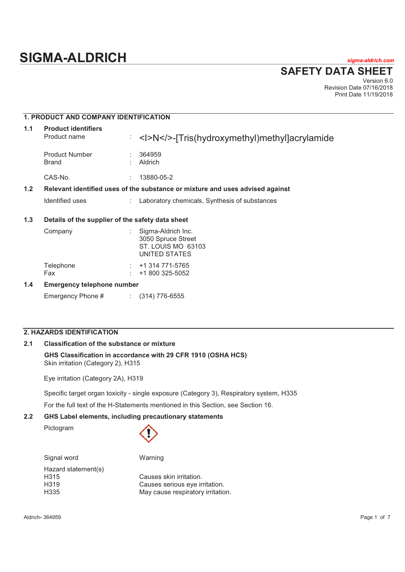# **SIGMA-ALDRICH** *sigma-aldrich.com*

**SAFETY DATA SHEET**

Version 6.0 Revision Date 07/16/2018 Print Date 11/19/2018

# **1. PRODUCT AND COMPANY IDENTIFICATION 1.1 Product identifiers**  Product name : <I>N</>><I>N</>></Intig(hydroxymethyl)methyl]acrylamide Product Number : 364959<br>Brand : Aldrich **Aldrich** CAS-No. : 13880-05-2 **1.2 Relevant identified uses of the substance or mixture and uses advised against**  Identified uses : Laboratory chemicals, Synthesis of substances **1.3 Details of the supplier of the safety data sheet**  Company : Sigma-Aldrich Inc. 3050 Spruce Street ST. LOUIS MO 63103 UNITED STATES Telephone : +1 314 771-5765 Fax : +1 800 325-5052 **1.4 Emergency telephone number**  Emergency Phone # : (314) 776-6555

# **2. HAZARDS IDENTIFICATION**

# **2.1 Classification of the substance or mixture**

# **GHS Classification in accordance with 29 CFR 1910 (OSHA HCS)** Skin irritation (Category 2), H315

Eye irritation (Category 2A), H319

Specific target organ toxicity - single exposure (Category 3), Respiratory system, H335

For the full text of the H-Statements mentioned in this Section, see Section 16.

# **2.2 GHS Label elements, including precautionary statements**

Pictogram



Hazard statement(s) H315 Causes skin irritation.

Signal word Warning

H319 Causes serious eye irritation. H335 May cause respiratory irritation.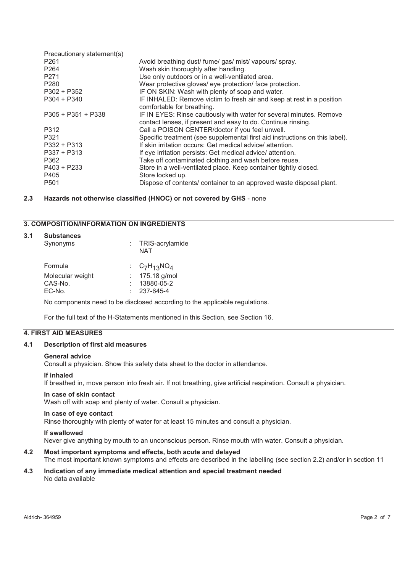| Avoid breathing dust/ fume/ gas/ mist/ vapours/ spray.                                                                              |
|-------------------------------------------------------------------------------------------------------------------------------------|
| Wash skin thoroughly after handling.                                                                                                |
| Use only outdoors or in a well-ventilated area.                                                                                     |
| Wear protective gloves/ eye protection/ face protection.                                                                            |
| IF ON SKIN: Wash with plenty of soap and water.                                                                                     |
| IF INHALED: Remove victim to fresh air and keep at rest in a position<br>comfortable for breathing.                                 |
| IF IN EYES: Rinse cautiously with water for several minutes. Remove<br>contact lenses, if present and easy to do. Continue rinsing. |
| Call a POISON CENTER/doctor if you feel unwell.                                                                                     |
| Specific treatment (see supplemental first aid instructions on this label).                                                         |
| If skin irritation occurs: Get medical advice/attention.                                                                            |
| If eye irritation persists: Get medical advice/ attention.                                                                          |
| Take off contaminated clothing and wash before reuse.                                                                               |
| Store in a well-ventilated place. Keep container tightly closed.                                                                    |
| Store locked up.                                                                                                                    |
| Dispose of contents/ container to an approved waste disposal plant.                                                                 |
|                                                                                                                                     |

# **2.3 Hazards not otherwise classified (HNOC) or not covered by GHS** - none

# **3. COMPOSITION/INFORMATION ON INGREDIENTS**

# **3.1 Substances**

| Synonyms         | : TRIS-acrylamide<br>NAT |
|------------------|--------------------------|
| Formula          | : $C_7H_{13}NO_4$        |
| Molecular weight | : $175.18$ g/mol         |
| CAS-No.          | 13880-05-2               |
| EC-No.           | $: 237 - 645 - 4$        |

No components need to be disclosed according to the applicable regulations.

For the full text of the H-Statements mentioned in this Section, see Section 16.

# **4. FIRST AID MEASURES**

### **4.1 Description of first aid measures**

### **General advice**

Consult a physician. Show this safety data sheet to the doctor in attendance.

### **If inhaled**

If breathed in, move person into fresh air. If not breathing, give artificial respiration. Consult a physician.

### **In case of skin contact**

Wash off with soap and plenty of water. Consult a physician.

### **In case of eye contact**

Rinse thoroughly with plenty of water for at least 15 minutes and consult a physician.

### **If swallowed**

Never give anything by mouth to an unconscious person. Rinse mouth with water. Consult a physician.

# **4.2 Most important symptoms and effects, both acute and delayed**

The most important known symptoms and effects are described in the labelling (see section 2.2) and/or in section 11

### **4.3 Indication of any immediate medical attention and special treatment needed**  No data available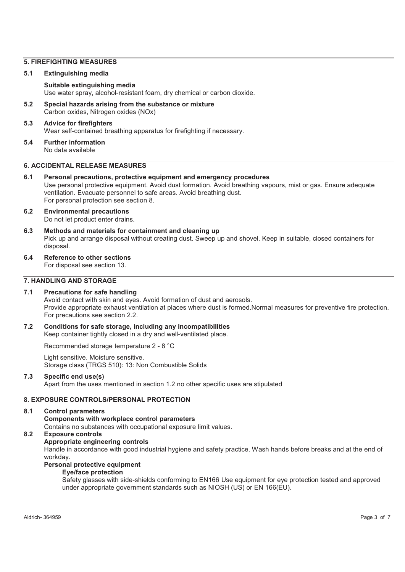# **5. FIREFIGHTING MEASURES**

### **5.1 Extinguishing media**

# **Suitable extinguishing media**

Use water spray, alcohol-resistant foam, dry chemical or carbon dioxide.

**5.2 Special hazards arising from the substance or mixture**  Carbon oxides, Nitrogen oxides (NOx)

# **5.3 Advice for firefighters**  Wear self-contained breathing apparatus for firefighting if necessary.

**5.4 Further information**  No data available

# **6. ACCIDENTAL RELEASE MEASURES**

**6.1 Personal precautions, protective equipment and emergency procedures**  Use personal protective equipment. Avoid dust formation. Avoid breathing vapours, mist or gas. Ensure adequate ventilation. Evacuate personnel to safe areas. Avoid breathing dust. For personal protection see section 8.

### **6.2 Environmental precautions**  Do not let product enter drains.

- **6.3 Methods and materials for containment and cleaning up**  Pick up and arrange disposal without creating dust. Sweep up and shovel. Keep in suitable, closed containers for disposal.
- **6.4 Reference to other sections**

For disposal see section 13.

# **7. HANDLING AND STORAGE**

### **7.1 Precautions for safe handling**

Avoid contact with skin and eyes. Avoid formation of dust and aerosols. Provide appropriate exhaust ventilation at places where dust is formed.Normal measures for preventive fire protection. For precautions see section 2.2.

### **7.2 Conditions for safe storage, including any incompatibilities**  Keep container tightly closed in a dry and well-ventilated place.

Recommended storage temperature 2 - 8 °C

Light sensitive. Moisture sensitive. Storage class (TRGS 510): 13: Non Combustible Solids

# **7.3 Specific end use(s)**

Apart from the uses mentioned in section 1.2 no other specific uses are stipulated

# **8. EXPOSURE CONTROLS/PERSONAL PROTECTION**

### **8.1 Control parameters**

**Components with workplace control parameters** 

Contains no substances with occupational exposure limit values.

# **8.2 Exposure controls**

# **Appropriate engineering controls**

Handle in accordance with good industrial hygiene and safety practice. Wash hands before breaks and at the end of workday.

# **Personal protective equipment**

# **Eye/face protection**

Safety glasses with side-shields conforming to EN166 Use equipment for eye protection tested and approved under appropriate government standards such as NIOSH (US) or EN 166(EU).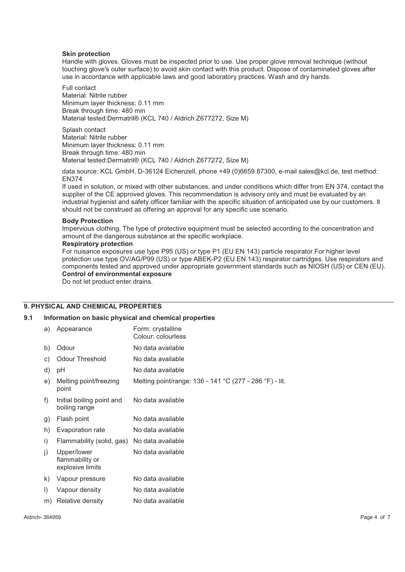### **Skin protection**

Handle with gloves. Gloves must be inspected prior to use. Use proper glove removal technique (without touching glove's outer surface) to avoid skin contact with this product. Dispose of contaminated gloves after use in accordance with applicable laws and good laboratory practices. Wash and dry hands.

Full contact Material: Nitrile rubber Minimum layer thickness: 0.11 mm Break through time: 480 min Material tested:Dermatril® (KCL 740 / Aldrich Z677272, Size M)

Splash contact Material: Nitrile rubber Minimum layer thickness: 0.11 mm Break through time: 480 min Material tested:Dermatril® (KCL 740 / Aldrich Z677272, Size M)

data source: KCL GmbH, D-36124 Eichenzell, phone +49 (0)6659 87300, e-mail sales@kcl.de, test method: EN374

If used in solution, or mixed with other substances, and under conditions which differ from EN 374, contact the supplier of the CE approved gloves. This recommendation is advisory only and must be evaluated by an industrial hygienist and safety officer familiar with the specific situation of anticipated use by our customers. It should not be construed as offering an approval for any specific use scenario.

### **Body Protection**

Impervious clothing, The type of protective equipment must be selected according to the concentration and amount of the dangerous substance at the specific workplace.

### **Respiratory protection**

For nuisance exposures use type P95 (US) or type P1 (EU EN 143) particle respirator.For higher level protection use type OV/AG/P99 (US) or type ABEK-P2 (EU EN 143) respirator cartridges. Use respirators and components tested and approved under appropriate government standards such as NIOSH (US) or CEN (EU). **Control of environmental exposure** 

Do not let product enter drains.

# **9. PHYSICAL AND CHEMICAL PROPERTIES**

### **9.1 Information on basic physical and chemical properties**

| a)      | Appearance                                         | Form: crystalline<br>Colour: colourless                 |
|---------|----------------------------------------------------|---------------------------------------------------------|
| b)      | Odour                                              | No data available                                       |
| C)      | <b>Odour Threshold</b>                             | No data available                                       |
| d)      | рH                                                 | No data available                                       |
| e)      | Melting point/freezing<br>point                    | Melting point/range: 136 - 141 °C (277 - 286 °F) - lit. |
| f)      | Initial boiling point and<br>boiling range         | No data available                                       |
| g)      | Flash point                                        | No data available                                       |
| h)      | Evaporation rate                                   | No data available                                       |
| i)      | Flammability (solid, gas)                          | No data available                                       |
| i)      | Upper/lower<br>flammability or<br>explosive limits | No data available                                       |
| k)      | Vapour pressure                                    | No data available                                       |
| $\vert$ | Vapour density                                     | No data available                                       |
| m)      | Relative density                                   | No data available                                       |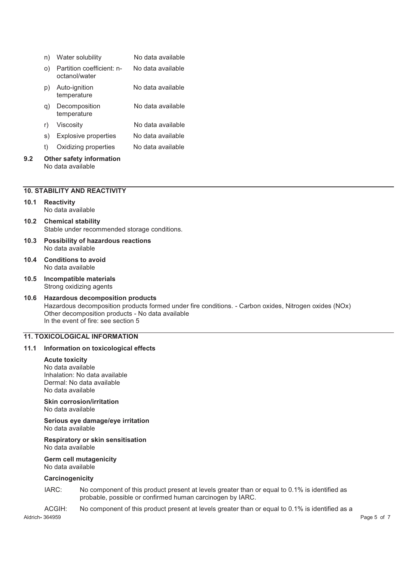|     | n) | Water solubility                                     | No data available |
|-----|----|------------------------------------------------------|-------------------|
|     | O) | Partition coefficient: n-<br>octanol/water           | No data available |
|     | p) | Auto-ignition<br>temperature                         | No data available |
|     | q) | Decomposition<br>temperature                         | No data available |
|     | r) | Viscosity                                            | No data available |
|     | S) | <b>Explosive properties</b>                          | No data available |
|     | t) | Oxidizing properties                                 | No data available |
| 9.2 |    | <b>Other safety information</b><br>No data available |                   |

# **10. STABILITY AND REACTIVITY**

### **10.1 Reactivity**  No data available

- **10.2 Chemical stability**  Stable under recommended storage conditions.
- **10.3 Possibility of hazardous reactions**  No data available
- **10.4 Conditions to avoid**  No data available
- **10.5 Incompatible materials**  Strong oxidizing agents

### **10.6 Hazardous decomposition products**  Hazardous decomposition products formed under fire conditions. - Carbon oxides, Nitrogen oxides (NOx) Other decomposition products - No data available In the event of fire: see section 5

# **11. TOXICOLOGICAL INFORMATION**

### **11.1 Information on toxicological effects**

### **Acute toxicity**

No data available Inhalation: No data available Dermal: No data available No data available

# **Skin corrosion/irritation**

No data available

**Serious eye damage/eye irritation**  No data available

### **Respiratory or skin sensitisation**  No data available

**Germ cell mutagenicity**  No data available

### **Carcinogenicity**

IARC: No component of this product present at levels greater than or equal to 0.1% is identified as probable, possible or confirmed human carcinogen by IARC.

ACGIH: No component of this product present at levels greater than or equal to 0.1% is identified as a

Aldrich**-** 364959 Page 5 of 7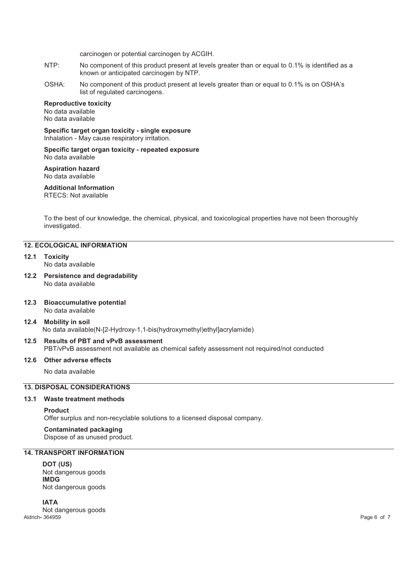carcinogen or potential carcinogen by ACGIH.

- NTP: No component of this product present at levels greater than or equal to 0.1% is identified as a known or anticipated carcinogen by NTP.
- OSHA: No component of this product present at levels greater than or equal to 0.1% is on OSHA's list of regulated carcinogens.

### **Reproductive toxicity**

No data available No data available

**Specific target organ toxicity - single exposure**  Inhalation - May cause respiratory irritation.

### **Specific target organ toxicity - repeated exposure**  No data available

**Aspiration hazard**  No data available

### **Additional Information**

RTECS: Not available

To the best of our knowledge, the chemical, physical, and toxicological properties have not been thoroughly investigated.

# **12. ECOLOGICAL INFORMATION**

- **12.1 Toxicity**  No data available
- **12.2 Persistence and degradability**  No data available
- **12.3 Bioaccumulative potential**  No data available

# **12.4 Mobility in soil**  No data available(N-[2-Hydroxy-1,1-bis(hydroxymethyl)ethyl]acrylamide)

**12.5 Results of PBT and vPvB assessment**  PBT/vPvB assessment not available as chemical safety assessment not required/not conducted

### **12.6 Other adverse effects**

No data available

# **13. DISPOSAL CONSIDERATIONS**

# **13.1 Waste treatment methods**

### **Product**

Offer surplus and non-recyclable solutions to a licensed disposal company.

**Contaminated packaging** Dispose of as unused product.

# **14. TRANSPORT INFORMATION**

**DOT (US)** Not dangerous goods **IMDG** Not dangerous goods

Aldrich**-** 364959 Page 6 of 7 **IATA** Not dangerous goods<br>Aldrich-364959